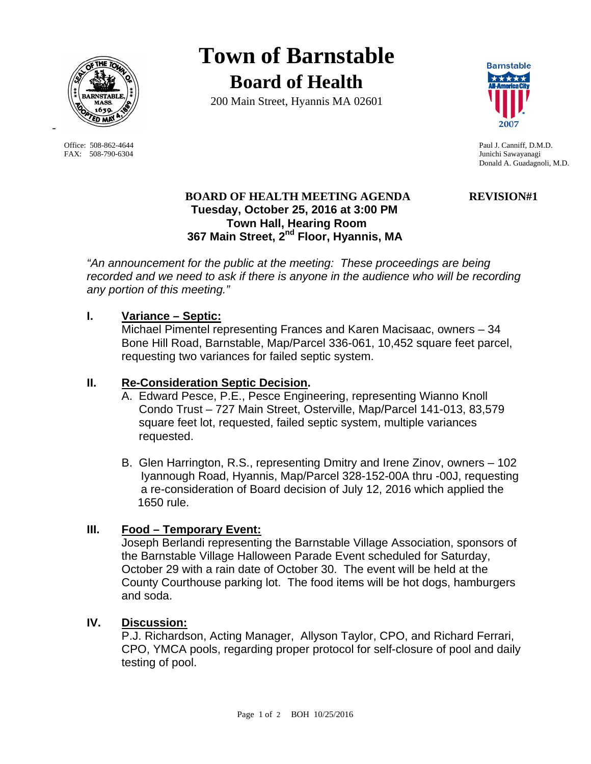

FAX: 508-790-6304 Junichi Sawayanagi

-

**Town of Barnstable Board of Health**

200 Main Street, Hyannis MA 02601



Office: 508-862-4644 Paul J. Canniff, D.M.D. Donald A. Guadagnoli, M.D.

# **BOARD OF HEALTH MEETING AGENDA REVISION#1 Tuesday, October 25, 2016 at 3:00 PM Town Hall, Hearing Room 367 Main Street, 2nd Floor, Hyannis, MA**

*"An announcement for the public at the meeting: These proceedings are being recorded and we need to ask if there is anyone in the audience who will be recording any portion of this meeting."* 

## **I. Variance – Septic:**

Michael Pimentel representing Frances and Karen Macisaac, owners – 34 Bone Hill Road, Barnstable, Map/Parcel 336-061, 10,452 square feet parcel, requesting two variances for failed septic system.

### **II. Re-Consideration Septic Decision.**

- A. Edward Pesce, P.E., Pesce Engineering, representing Wianno Knoll Condo Trust – 727 Main Street, Osterville, Map/Parcel 141-013, 83,579 square feet lot, requested, failed septic system, multiple variances requested.
- B. Glen Harrington, R.S., representing Dmitry and Irene Zinov, owners 102 Iyannough Road, Hyannis, Map/Parcel 328-152-00A thru -00J, requesting a re-consideration of Board decision of July 12, 2016 which applied the 1650 rule.

## **III. Food – Temporary Event:**

Joseph Berlandi representing the Barnstable Village Association, sponsors of the Barnstable Village Halloween Parade Event scheduled for Saturday, October 29 with a rain date of October 30. The event will be held at the County Courthouse parking lot. The food items will be hot dogs, hamburgers and soda.

## **IV. Discussion:**

P.J. Richardson, Acting Manager, Allyson Taylor, CPO, and Richard Ferrari, CPO, YMCA pools, regarding proper protocol for self-closure of pool and daily testing of pool.